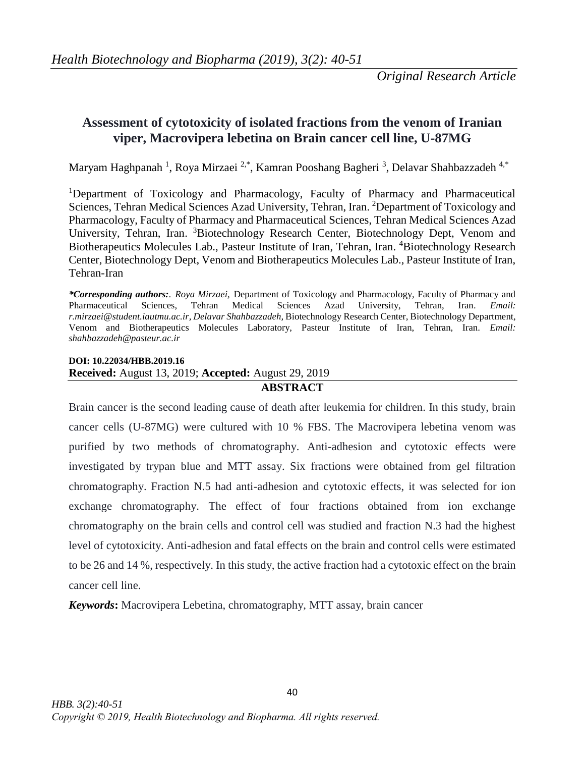# **Assessment of cytotoxicity of isolated fractions from the venom of Iranian viper, Macrovipera lebetina on Brain cancer cell line, U-87MG**

Maryam Haghpanah <sup>1</sup>, Roya Mirzaei <sup>2,\*</sup>, Kamran Pooshang Bagheri <sup>3</sup>, Delavar Shahbazzadeh <sup>4,\*</sup>

<sup>1</sup>Department of Toxicology and Pharmacology, Faculty of Pharmacy and Pharmaceutical Sciences, Tehran Medical Sciences Azad University, Tehran, Iran. <sup>2</sup>Department of Toxicology and Pharmacology, Faculty of Pharmacy and Pharmaceutical Sciences, Tehran Medical Sciences Azad University, Tehran, Iran. <sup>3</sup>Biotechnology Research Center, Biotechnology Dept, Venom and Biotherapeutics Molecules Lab., Pasteur Institute of Iran, Tehran, Iran. <sup>4</sup>Biotechnology Research Center, Biotechnology Dept, Venom and Biotherapeutics Molecules Lab., Pasteur Institute of Iran, Tehran-Iran

*\*Corresponding authors:. Roya Mirzaei,* Department of Toxicology and Pharmacology, Faculty of Pharmacy and Pharmaceutical Sciences, Tehran Medical Sciences Azad University, Tehran, Iran*. Email: [r.mirzaei@student.iautmu.ac.ir,](mailto:r.mirzaei@student.iautmu.ac.ir) Delavar Shahbazzadeh,* Biotechnology Research Center, Biotechnology Department, Venom and Biotherapeutics Molecules Laboratory, Pasteur Institute of Iran, Tehran, Iran. *Email: [shahbazzadeh@pasteur.ac.ir](mailto:shahbazzadeh@pasteur.ac.ir)*

## **DOI: 10.22034/HBB.2019.16 Received:** August 13, 2019; **Accepted:** August 29, 2019

## **ABSTRACT**

Brain cancer is the second leading cause of death after leukemia for children. In this study, brain cancer cells (U-87MG) were cultured with 10 % FBS. The Macrovipera lebetina venom was purified by two methods of chromatography. Anti-adhesion and cytotoxic effects were investigated by trypan blue and MTT assay. Six fractions were obtained from gel filtration chromatography. Fraction N.5 had anti-adhesion and cytotoxic effects, it was selected for ion exchange chromatography. The effect of four fractions obtained from ion exchange chromatography on the brain cells and control cell was studied and fraction N.3 had the highest level of cytotoxicity. Anti-adhesion and fatal effects on the brain and control cells were estimated to be 26 and 14 %, respectively. In this study, the active fraction had a cytotoxic effect on the brain cancer cell line.

*Keywords***:** Macrovipera Lebetina, chromatography, MTT assay, brain cancer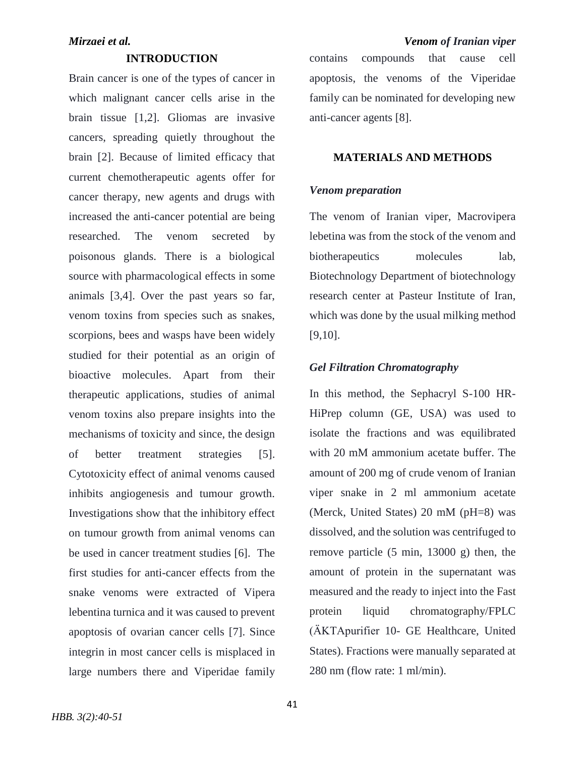### **INTRODUCTION**

Brain cancer is one of the types of cancer in which malignant cancer cells arise in the brain tissue [1,2]. Gliomas are invasive cancers, spreading quietly throughout the brain [2]. Because of limited efficacy that current chemotherapeutic agents offer for cancer therapy, new agents and drugs with increased the anti-cancer potential are being researched. The venom secreted by poisonous glands. There is a biological source with pharmacological effects in some animals [3,4]. Over the past years so far, venom toxins from species such as snakes, scorpions, bees and wasps have been widely studied for their potential as an origin of bioactive molecules. Apart from their therapeutic applications, studies of animal venom toxins also prepare insights into the mechanisms of toxicity and since, the design of better treatment strategies [5]. Cytotoxicity effect of animal venoms caused inhibits angiogenesis and tumour growth. Investigations show that the inhibitory effect on tumour growth from animal venoms can be used in cancer treatment studies [6]. The first studies for anti-cancer effects from the snake venoms were extracted of Vipera lebentina turnica and it was caused to prevent apoptosis of ovarian cancer cells [7]. Since integrin in most cancer cells is misplaced in large numbers there and Viperidae family

## *Mirzaei et al. Venom of Iranian viper*

contains compounds that cause cell apoptosis, the venoms of the Viperidae family can be nominated for developing new anti-cancer agents [8].

## **MATERIALS AND METHODS**

### *Venom preparation*

The venom of Iranian viper, Macrovipera lebetina was from the stock of the venom and biotherapeutics molecules lab, Biotechnology Department of biotechnology research center at Pasteur Institute of Iran, which was done by the usual milking method [9,10].

#### *Gel Filtration Chromatography*

In this method, the Sephacryl S-100 HR-HiPrep column (GE, USA) was used to isolate the fractions and was equilibrated with 20 mM ammonium acetate buffer. The amount of 200 mg of crude venom of Iranian viper snake in 2 ml ammonium acetate (Merck, United States) 20 mM (pH=8) was dissolved, and the solution was centrifuged to remove particle (5 min, 13000 g) then, the amount of protein in the supernatant was measured and the ready to inject into the Fast protein liquid chromatography/FPLC (ÄKTApurifier 10- GE Healthcare, United States). Fractions were manually separated at 280 nm (flow rate: 1 ml/min).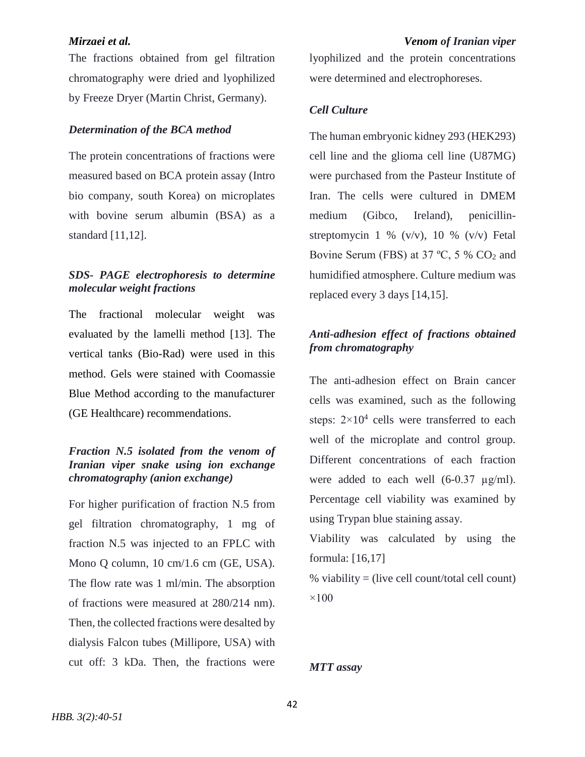The fractions obtained from gel filtration chromatography were dried and lyophilized by Freeze Dryer (Martin Christ, Germany).

#### *Determination of the BCA method*

The protein concentrations of fractions were measured based on BCA protein assay (Intro bio company, south Korea) on microplates with bovine serum albumin (BSA) as a standard [11,12].

### *SDS- PAGE electrophoresis to determine molecular weight fractions*

The fractional molecular weight was evaluated by the lamelli method [13]. The vertical tanks (Bio-Rad) were used in this method. Gels were stained with Coomassie Blue Method according to the manufacturer (GE Healthcare) recommendations.

## *Fraction N.5 isolated from the venom of Iranian viper snake using ion exchange chromatography (anion exchange)*

For higher purification of fraction N.5 from gel filtration chromatography, 1 mg of fraction N.5 was injected to an FPLC with Mono Q column, 10 cm/1.6 cm (GE, USA). The flow rate was 1 ml/min. The absorption of fractions were measured at 280/214 nm). Then, the collected fractions were desalted by dialysis Falcon tubes (Millipore, USA) with cut off: 3 kDa. Then, the fractions were

lyophilized and the protein concentrations were determined and electrophoreses.

### *Cell Culture*

The human embryonic kidney 293 (HEK293) cell line and the glioma cell line (U87MG) were purchased from the Pasteur Institute of Iran. The cells were cultured in DMEM medium (Gibco, Ireland), penicillinstreptomycin 1 %  $(v/v)$ , 10 %  $(v/v)$  Fetal Bovine Serum (FBS) at 37 °C, 5 %  $CO<sub>2</sub>$  and humidified atmosphere. Culture medium was replaced every 3 days [14,15].

### *Anti-adhesion effect of fractions obtained from chromatography*

The anti-adhesion effect on Brain cancer cells was examined, such as the following steps:  $2 \times 10^4$  cells were transferred to each well of the microplate and control group. Different concentrations of each fraction were added to each well  $(6-0.37 \text{ µg/ml})$ . Percentage cell viability was examined by using Trypan blue staining assay.

Viability was calculated by using the formula: [16,17]

% viability = (live cell count/total cell count)  $\times$ 100

#### *MTT assay*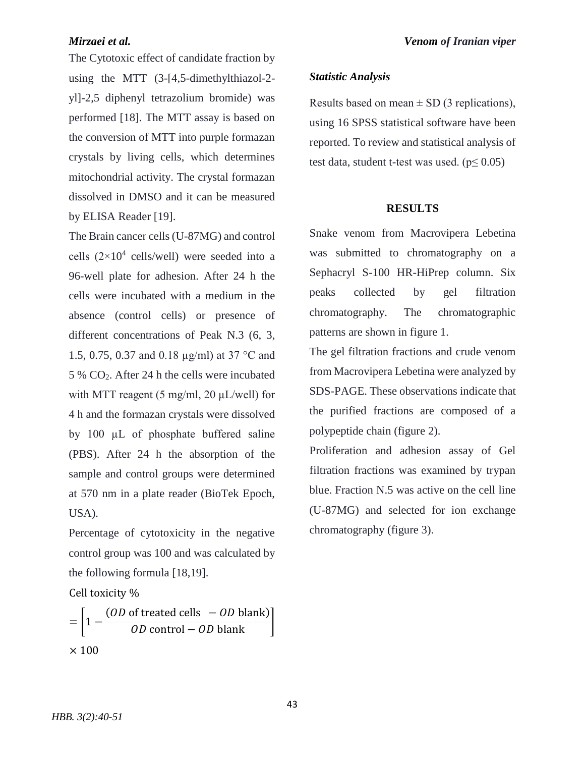The Cytotoxic effect of candidate fraction by using the MTT (3-[4,5-dimethylthiazol-2 yl]-2,5 diphenyl tetrazolium bromide) was performed [18]. The MTT assay is based on the conversion of MTT into purple formazan crystals by living cells, which determines mitochondrial activity. The crystal formazan dissolved in DMSO and it can be measured by ELISA Reader [19].

The Brain cancer cells (U-87MG) and control cells  $(2\times10^4 \text{ cells/well})$  were seeded into a 96-well plate for adhesion. After 24 h the cells were incubated with a medium in the absence (control cells) or presence of different concentrations of Peak N.3 (6, 3, 1.5, 0.75, 0.37 and 0.18 µg/ml) at 37 °C and 5 % CO2. After 24 h the cells were incubated with MTT reagent (5 mg/ml, 20  $\mu$ L/well) for 4 h and the formazan crystals were dissolved by 100 µL of phosphate buffered saline (PBS). After 24 h the absorption of the sample and control groups were determined at 570 nm in a plate reader (BioTek Epoch, USA).

Percentage of cytotoxicity in the negative control group was 100 and was calculated by the following formula [18,19].

Cell toxicity %

$$
= \left[1 - \frac{(OD \text{ of treated cells } - OD \text{ blank})}{OD \text{ control} - OD \text{ blank}}\right]
$$
  
× 100

### *Statistic Analysis*

Results based on mean  $\pm$  SD (3 replications), using 16 SPSS statistical software have been reported. To review and statistical analysis of test data, student t-test was used. ( $p \le 0.05$ )

#### **RESULTS**

Snake venom from Macrovipera Lebetina was submitted to chromatography on a Sephacryl S-100 HR-HiPrep column. Six peaks collected by gel filtration chromatography. The chromatographic patterns are shown in figure 1.

The gel filtration fractions and crude venom from Macrovipera Lebetina were analyzed by SDS-PAGE. These observations indicate that the purified fractions are composed of a polypeptide chain (figure 2).

Proliferation and adhesion assay of Gel filtration fractions was examined by trypan blue. Fraction N.5 was active on the cell line (U-87MG) and selected for ion exchange chromatography (figure 3).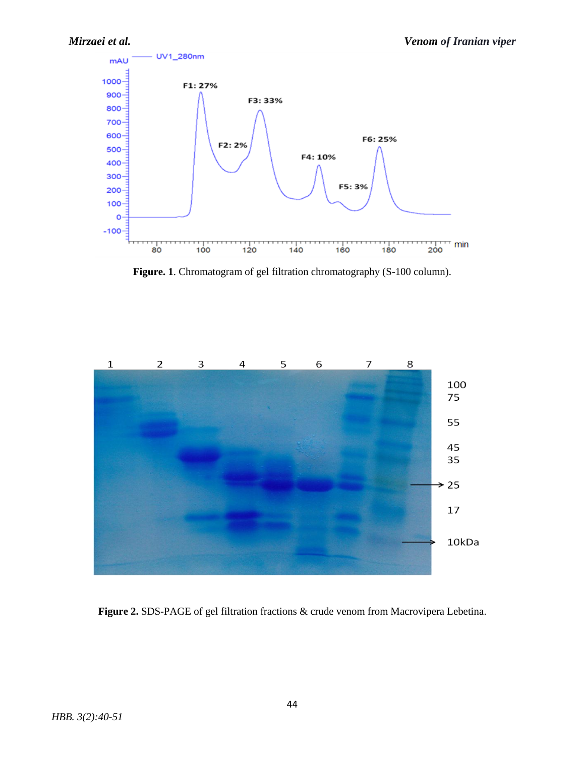

**Figure. 1**. Chromatogram of gel filtration chromatography (S-100 column).



**Figure 2.** SDS-PAGE of gel filtration fractions & crude venom from Macrovipera Lebetina.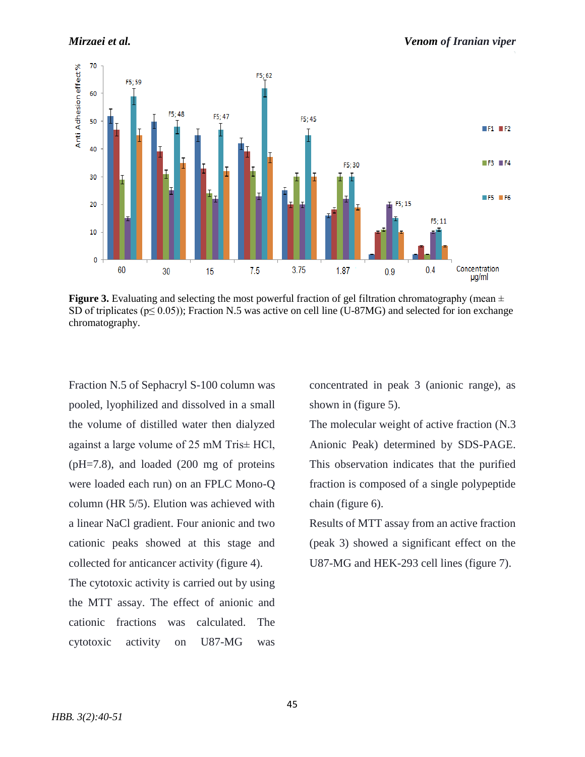

**Figure 3.** Evaluating and selecting the most powerful fraction of gel filtration chromatography (mean  $\pm$ SD of triplicates ( $p \le 0.05$ )); Fraction N.5 was active on cell line (U-87MG) and selected for ion exchange chromatography.

Fraction N.5 of Sephacryl S-100 column was pooled, lyophilized and dissolved in a small the volume of distilled water then dialyzed against a large volume of 25 mM Tris± HCl, (pH=7.8), and loaded (200 mg of proteins were loaded each run) on an FPLC Mono-Q column (HR 5/5). Elution was achieved with a linear NaCl gradient. Four anionic and two cationic peaks showed at this stage and collected for anticancer activity (figure 4).

The cytotoxic activity is carried out by using the MTT assay. The effect of anionic and cationic fractions was calculated. The cytotoxic activity on U87-MG was

concentrated in peak 3 (anionic range), as shown in (figure 5).

The molecular weight of active fraction (N.3 Anionic Peak) determined by SDS-PAGE. This observation indicates that the purified fraction is composed of a single polypeptide chain (figure 6).

Results of MTT assay from an active fraction (peak 3) showed a significant effect on the U87-MG and HEK-293 cell lines (figure 7).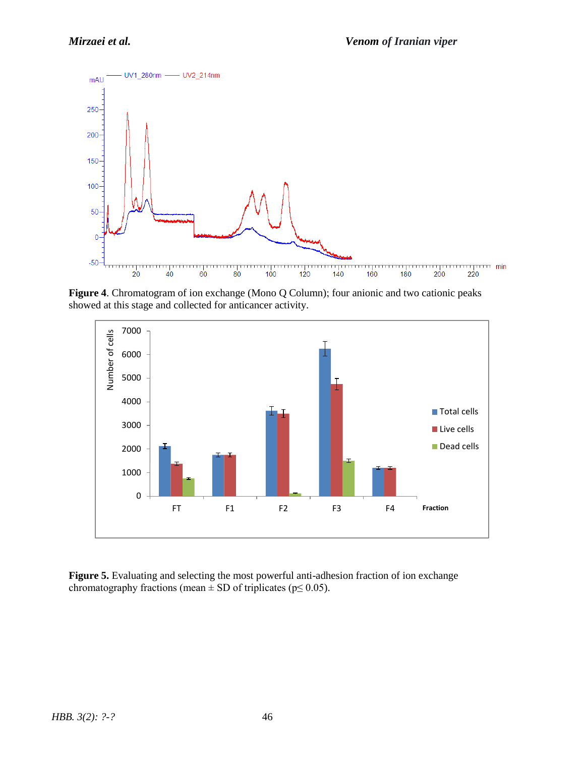

**Figure 4**. Chromatogram of ion exchange (Mono Q Column); four anionic and two cationic peaks showed at this stage and collected for anticancer activity.



Figure 5. Evaluating and selecting the most powerful anti-adhesion fraction of ion exchange chromatography fractions (mean  $\pm$  SD of triplicates (p $\leq$  0.05).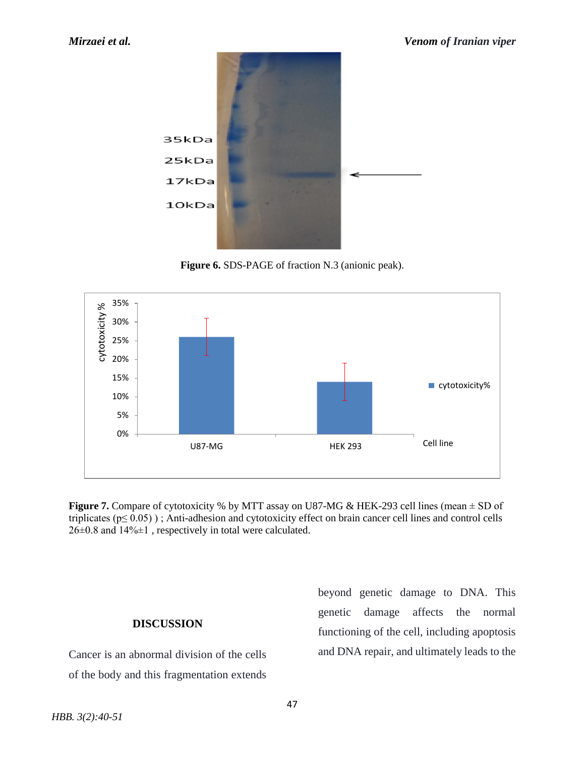

**Figure 6.** SDS-PAGE of fraction N.3 (anionic peak).



**Figure 7.** Compare of cytotoxicity % by MTT assay on U87-MG & HEK-293 cell lines (mean  $\pm$  SD of triplicates ( $p \le 0.05$ ); Anti-adhesion and cytotoxicity effect on brain cancer cell lines and control cells 26±0.8 and 14%±1 , respectively in total were calculated.

## **DISCUSSION**

Cancer is an abnormal division of the cells of the body and this fragmentation extends beyond genetic damage to DNA. This genetic damage affects the normal functioning of the cell, including apoptosis and DNA repair, and ultimately leads to the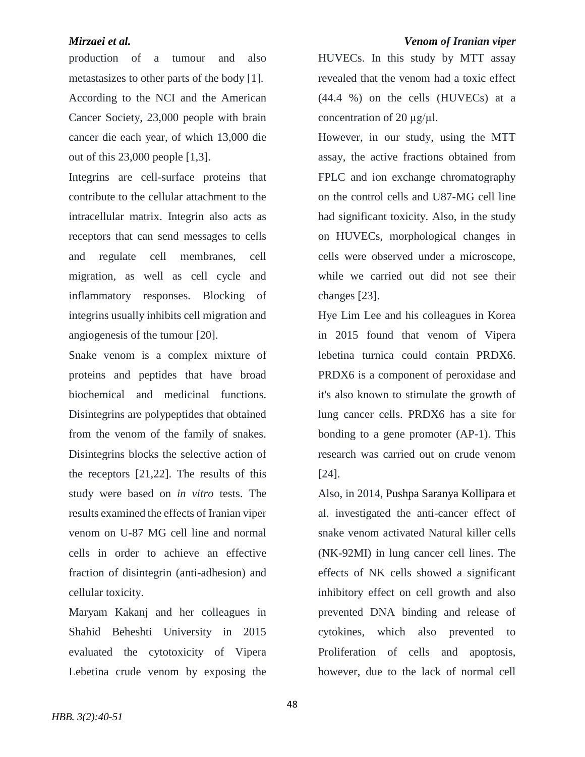### *Mirzaei et al. Venom of Iranian viper*

production of a tumour and also metastasizes to other parts of the body [1]. According to the NCI and the American Cancer Society, 23,000 people with brain cancer die each year, of which 13,000 die out of this 23,000 people [1,3].

Integrins are cell-surface proteins that contribute to the cellular attachment to the intracellular matrix. Integrin also acts as receptors that can send messages to cells and regulate cell membranes, cell migration, as well as cell cycle and inflammatory responses. Blocking of integrins usually inhibits cell migration and angiogenesis of the tumour [20].

Snake venom is a complex mixture of proteins and peptides that have broad biochemical and medicinal functions. Disintegrins are polypeptides that obtained from the venom of the family of snakes. Disintegrins blocks the selective action of the receptors [21,22]. The results of this study were based on *in vitro* tests. The results examined the effects of Iranian viper venom on U-87 MG cell line and normal cells in order to achieve an effective fraction of disintegrin (anti-adhesion) and cellular toxicity.

Maryam Kakanj and her colleagues in Shahid Beheshti University in 2015 evaluated the cytotoxicity of Vipera Lebetina crude venom by exposing the

HUVECs. In this study by MTT assay revealed that the venom had a toxic effect (44.4 %) on the cells (HUVECs) at a concentration of 20  $\mu$ g/ $\mu$ l.

However, in our study, using the MTT assay, the active fractions obtained from FPLC and ion exchange chromatography on the control cells and U87-MG cell line had significant toxicity. Also, in the study on HUVECs, morphological changes in cells were observed under a microscope, while we carried out did not see their changes [23].

Hye Lim Lee and his colleagues in Korea in 2015 found that venom of Vipera lebetina turnica could contain PRDX6. PRDX6 is a component of peroxidase and it's also known to stimulate the growth of lung cancer cells. PRDX6 has a site for bonding to a gene promoter (AP-1). This research was carried out on crude venom [24].

Also, in 2014, [Pushpa Saranya Kollipara](https://www.ncbi.nlm.nih.gov/pubmed/?term=Kollipara%20PS%5BAuthor%5D&cauthor=true&cauthor_uid=24753815) et al. investigated the anti-cancer effect of snake venom activated Natural killer cells (NK-92MI) in lung cancer cell lines. The effects of NK cells showed a significant inhibitory effect on cell growth and also prevented DNA binding and release of cytokines, which also prevented to Proliferation of cells and apoptosis, however, due to the lack of normal cell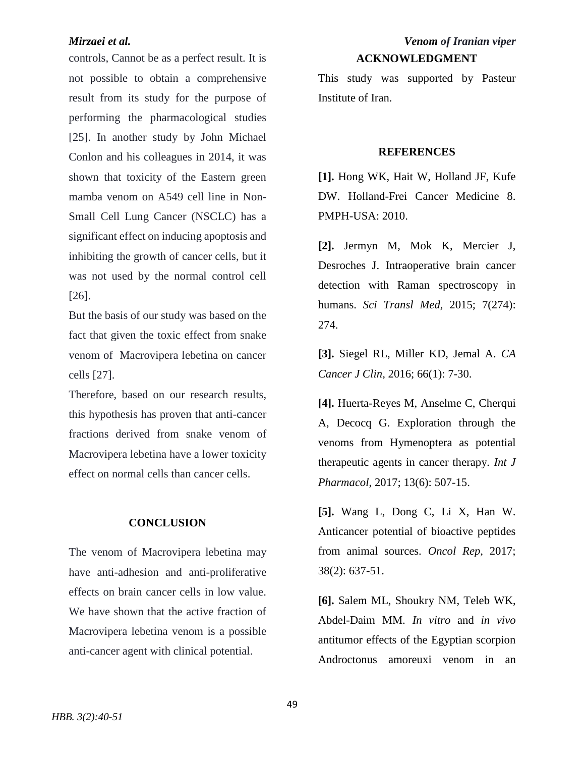controls, Cannot be as a perfect result. It is not possible to obtain a comprehensive result from its study for the purpose of performing the pharmacological studies [25]. In another study by John Michael Conlon and his colleagues in 2014, it was shown that toxicity of the Eastern green mamba venom on A549 cell line in Non-Small Cell Lung Cancer (NSCLC) has a significant effect on inducing apoptosis and inhibiting the growth of cancer cells, but it was not used by the normal control cell [26].

But the basis of our study was based on the fact that given the toxic effect from snake venom of Macrovipera lebetina on cancer cells [27].

Therefore, based on our research results, this hypothesis has proven that anti-cancer fractions derived from snake venom of Macrovipera lebetina have a lower toxicity effect on normal cells than cancer cells.

#### **CONCLUSION**

The venom of Macrovipera lebetina may have anti-adhesion and anti-proliferative effects on brain cancer cells in low value. We have shown that the active fraction of Macrovipera lebetina venom is a possible anti-cancer agent with clinical potential.

# *Mirzaei et al. Venom of Iranian viper* **ACKNOWLEDGMENT**

This study was supported by Pasteur Institute of Iran.

#### **REFERENCES**

**[1].** Hong WK, Hait W, Holland JF, Kufe DW. Holland-Frei Cancer Medicine 8. PMPH-USA: 2010.

**[2].** Jermyn M, Mok K, Mercier J, Desroches J. Intraoperative brain cancer detection with Raman spectroscopy in humans. *Sci Transl Med,* 2015; 7(274): 274.

**[3].** Siegel RL, Miller KD, Jemal A. *CA Cancer J Clin,* 2016; 66(1): 7-30.

**[4].** Huerta-Reyes M, Anselme C, Cherqui A, Decocq G. Exploration through the venoms from Hymenoptera as potential therapeutic agents in cancer therapy*. Int J Pharmacol*, 2017; 13(6): 507-15.

**[5].** Wang L, Dong C, Li X, Han W. Anticancer potential of bioactive peptides from animal sources. *Oncol Rep,* 2017; 38(2): 637-51.

**[6].** Salem ML, Shoukry NM, Teleb WK, Abdel-Daim MM. *In vitro* and *in vivo* antitumor effects of the Egyptian scorpion Androctonus amoreuxi venom in an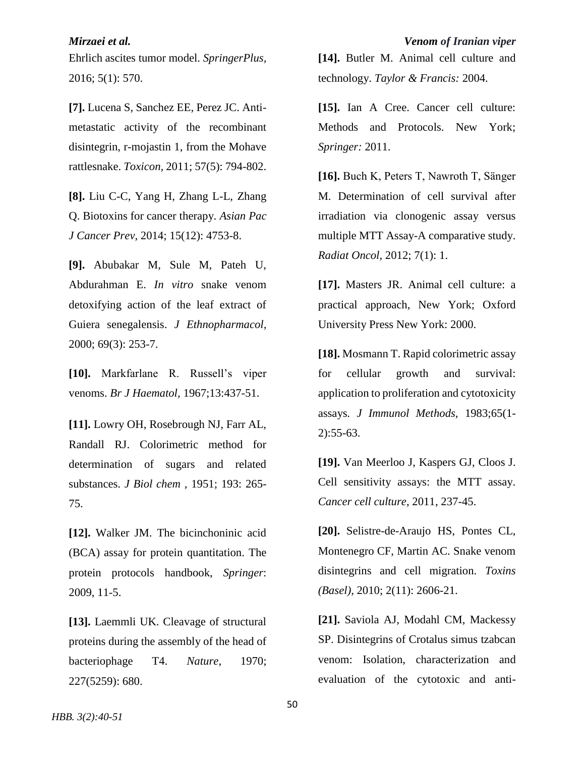Ehrlich ascites tumor model. *SpringerPlus,* 2016; 5(1): 570.

**[7].** Lucena S, Sanchez EE, Perez JC. Antimetastatic activity of the recombinant disintegrin, r-mojastin 1, from the Mohave rattlesnake. *Toxicon,* 2011; 57(5): 794-802.

**[8].** Liu C-C, Yang H, Zhang L-L, Zhang Q. Biotoxins for cancer therapy. *Asian Pac J Cancer Prev*, 2014; 15(12): 4753-8.

**[9].** Abubakar M, Sule M, Pateh U, Abdurahman E. *In vitro* snake venom detoxifying action of the leaf extract of Guiera senegalensis. *J Ethnopharmacol,* 2000; 69(3): 253-7.

**[10].** Markfarlane R. Russell's viper venoms. *Br J Haematol,* 1967;13:437-51.

**[11].** Lowry OH, Rosebrough NJ, Farr AL, Randall RJ. Colorimetric method for determination of sugars and related substances. *J Biol chem ,* 1951; 193: 265- 75.

**[12].** Walker JM. The bicinchoninic acid (BCA) assay for protein quantitation. The protein protocols handbook, *Springer*: 2009, 11-5.

**[13].** Laemmli UK. Cleavage of structural proteins during the assembly of the head of bacteriophage T4. *Nature*, 1970; 227(5259): 680.

**[14].** Butler M. Animal cell culture and technology. *Taylor & Francis:* 2004.

**[15].** Ian A Cree. Cancer cell culture: Methods and Protocols. New York; *Springer:* 2011.

**[16].** Buch K, Peters T, Nawroth T, Sänger M. Determination of cell survival after irradiation via clonogenic assay versus multiple MTT Assay-A comparative study. *Radiat Oncol,* 2012; 7(1): 1.

**[17].** Masters JR. Animal cell culture: a practical approach, New York; Oxford University Press New York: 2000.

**[18].** Mosmann T. Rapid colorimetric assay for cellular growth and survival: application to proliferation and cytotoxicity assays*. J Immunol Methods,* 1983;65(1- 2):55-63.

**[19].** Van Meerloo J, Kaspers GJ, Cloos J. Cell sensitivity assays: the MTT assay. *Cancer cell culture*, 2011, 237-45.

**[20].** Selistre-de-Araujo HS, Pontes CL, Montenegro CF, Martin AC. Snake venom disintegrins and cell migration. *Toxins (Basel),* 2010; 2(11): 2606-21.

**[21].** Saviola AJ, Modahl CM, Mackessy SP. Disintegrins of Crotalus simus tzabcan venom: Isolation, characterization and evaluation of the cytotoxic and anti-